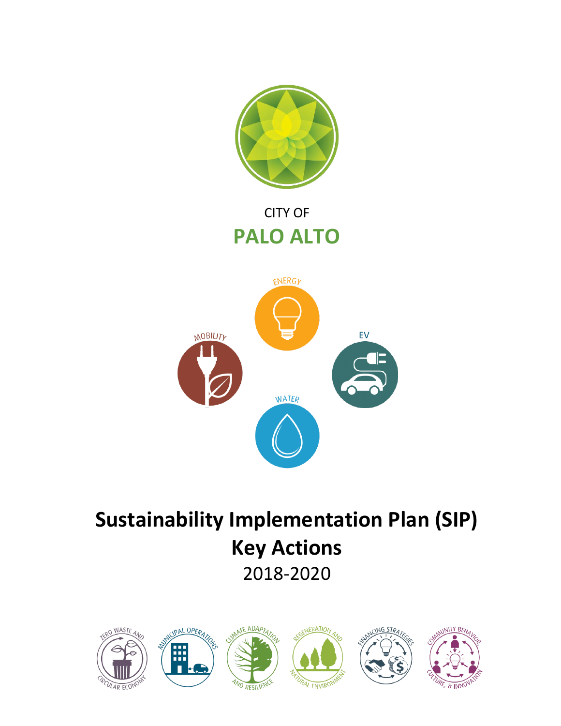

# CITY OF **PALO ALTO**



# **Sustainability Implementation Plan (SIP) Key Actions** 2018-2020

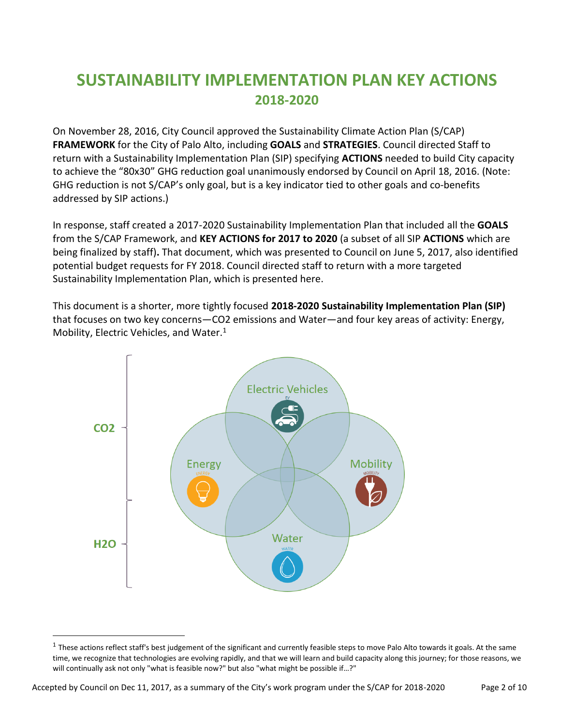# **SUSTAINABILITY IMPLEMENTATION PLAN KEY ACTIONS 2018-2020**

On November 28, 2016, City Council approved the Sustainability Climate Action Plan (S/CAP) **FRAMEWORK** for the City of Palo Alto, including **GOALS** and **STRATEGIES**. Council directed Staff to return with a Sustainability Implementation Plan (SIP) specifying **ACTIONS** needed to build City capacity to achieve the "80x30" GHG reduction goal unanimously endorsed by Council on April 18, 2016. (Note: GHG reduction is not S/CAP's only goal, but is a key indicator tied to other goals and co-benefits addressed by SIP actions.)

In response, staff created a 2017-2020 Sustainability Implementation Plan that included all the **GOALS** from the S/CAP Framework, and **KEY ACTIONS for 2017 to 2020** (a subset of all SIP **ACTIONS** which are being finalized by staff)**.** That document, which was presented to Council on June 5, 2017, also identified potential budget requests for FY 2018. Council directed staff to return with a more targeted Sustainability Implementation Plan, which is presented here.

This document is a shorter, more tightly focused **2018-2020 Sustainability Implementation Plan (SIP)** that focuses on two key concerns—CO2 emissions and Water—and four key areas of activity: Energy, Mobility, Electric Vehicles, and Water.<sup>1</sup>



 $\overline{a}$ 

 $^1$  These actions reflect staff's best judgement of the significant and currently feasible steps to move Palo Alto towards it goals. At the same time, we recognize that technologies are evolving rapidly, and that we will learn and build capacity along this journey; for those reasons, we will continually ask not only "what is feasible now?" but also "what might be possible if…?"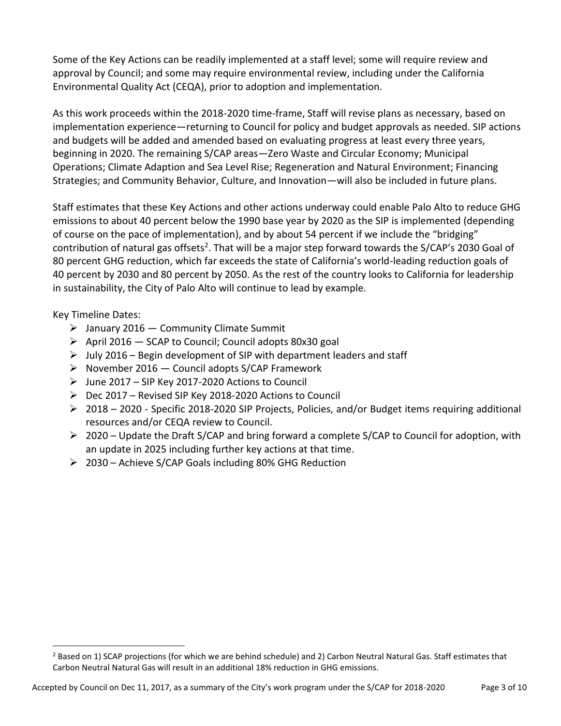Some of the Key Actions can be readily implemented at a staff level; some will require review and approval by Council; and some may require environmental review, including under the California Environmental Quality Act (CEQA), prior to adoption and implementation.

As this work proceeds within the 2018-2020 time-frame, Staff will revise plans as necessary, based on implementation experience—returning to Council for policy and budget approvals as needed. SIP actions and budgets will be added and amended based on evaluating progress at least every three years, beginning in 2020. The remaining S/CAP areas—Zero Waste and Circular Economy; Municipal Operations; Climate Adaption and Sea Level Rise; Regeneration and Natural Environment; Financing Strategies; and Community Behavior, Culture, and Innovation—will also be included in future plans.

Staff estimates that these Key Actions and other actions underway could enable Palo Alto to reduce GHG emissions to about 40 percent below the 1990 base year by 2020 as the SIP is implemented (depending of course on the pace of implementation), and by about 54 percent if we include the "bridging" contribution of natural gas offsets<sup>2</sup>. That will be a major step forward towards the S/CAP's 2030 Goal of 80 percent GHG reduction, which far exceeds the state of California's world-leading reduction goals of 40 percent by 2030 and 80 percent by 2050. As the rest of the country looks to California for leadership in sustainability, the City of Palo Alto will continue to lead by example.

Key Timeline Dates:

 $\overline{a}$ 

- $\triangleright$  January 2016 Community Climate Summit
- $\triangleright$  April 2016 SCAP to Council; Council adopts 80x30 goal
- $\triangleright$  July 2016 Begin development of SIP with department leaders and staff
- ➢ November 2016 Council adopts S/CAP Framework
- $\triangleright$  June 2017 SIP Key 2017-2020 Actions to Council
- ➢ Dec 2017 Revised SIP Key 2018-2020 Actions to Council
- ➢ 2018 2020 Specific 2018-2020 SIP Projects, Policies, and/or Budget items requiring additional resources and/or CEQA review to Council.
- ➢ 2020 Update the Draft S/CAP and bring forward a complete S/CAP to Council for adoption, with an update in 2025 including further key actions at that time.
- ➢ 2030 Achieve S/CAP Goals including 80% GHG Reduction

 $<sup>2</sup>$  Based on 1) SCAP projections (for which we are behind schedule) and 2) Carbon Neutral Natural Gas. Staff estimates that</sup> Carbon Neutral Natural Gas will result in an additional 18% reduction in GHG emissions.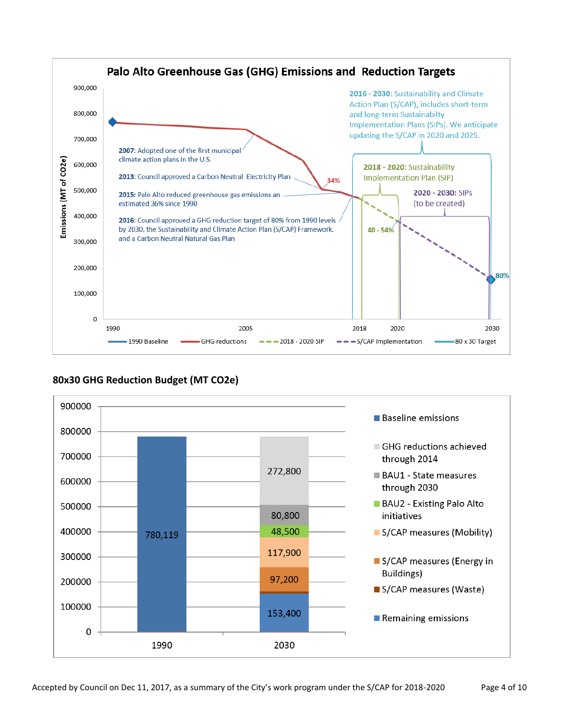

## **80x30 GHG Reduction Budget (MT CO2e)**

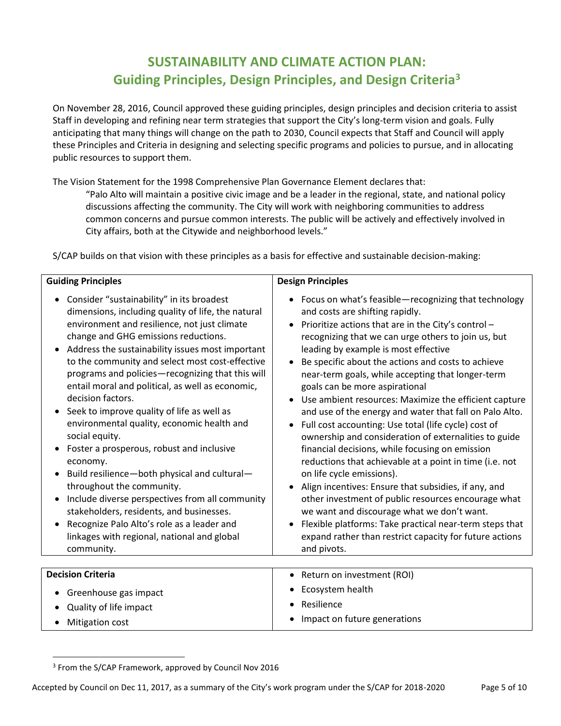# **SUSTAINABILITY AND CLIMATE ACTION PLAN: Guiding Principles, Design Principles, and Design Criteria<sup>3</sup>**

On November 28, 2016, Council approved these guiding principles, design principles and decision criteria to assist Staff in developing and refining near term strategies that support the City's long-term vision and goals. Fully anticipating that many things will change on the path to 2030, Council expects that Staff and Council will apply these Principles and Criteria in designing and selecting specific programs and policies to pursue, and in allocating public resources to support them.

The Vision Statement for the 1998 Comprehensive Plan Governance Element declares that:

"Palo Alto will maintain a positive civic image and be a leader in the regional, state, and national policy discussions affecting the community. The City will work with neighboring communities to address common concerns and pursue common interests. The public will be actively and effectively involved in City affairs, both at the Citywide and neighborhood levels."

S/CAP builds on that vision with these principles as a basis for effective and sustainable decision-making:

| <b>Guiding Principles</b>                          | <b>Design Principles</b>                                |
|----------------------------------------------------|---------------------------------------------------------|
| Consider "sustainability" in its broadest          | Focus on what's feasible-recognizing that technology    |
| $\bullet$                                          | $\bullet$                                               |
| dimensions, including quality of life, the natural | and costs are shifting rapidly.                         |
| environment and resilience, not just climate       | Prioritize actions that are in the City's control -     |
| change and GHG emissions reductions.               | recognizing that we can urge others to join us, but     |
| Address the sustainability issues most important   | leading by example is most effective                    |
| to the community and select most cost-effective    | Be specific about the actions and costs to achieve      |
| programs and policies-recognizing that this will   | near-term goals, while accepting that longer-term       |
| entail moral and political, as well as economic,   | goals can be more aspirational                          |
| decision factors.                                  | • Use ambient resources: Maximize the efficient capture |
| Seek to improve quality of life as well as         | and use of the energy and water that fall on Palo Alto. |
| environmental quality, economic health and         | Full cost accounting: Use total (life cycle) cost of    |
| social equity.                                     | ownership and consideration of externalities to guide   |
| Foster a prosperous, robust and inclusive          | financial decisions, while focusing on emission         |
| economy.                                           | reductions that achievable at a point in time (i.e. not |
| Build resilience-both physical and cultural-       | on life cycle emissions).                               |
| throughout the community.                          | Align incentives: Ensure that subsidies, if any, and    |
| Include diverse perspectives from all community    | other investment of public resources encourage what     |
| stakeholders, residents, and businesses.           | we want and discourage what we don't want.              |
| Recognize Palo Alto's role as a leader and         | Flexible platforms: Take practical near-term steps that |
| linkages with regional, national and global        | expand rather than restrict capacity for future actions |
| community.                                         | and pivots.                                             |
| <b>Decision Criteria</b>                           | • Return on investment (ROI)                            |
| Greenhouse gas impact                              | Ecosystem health                                        |
| Quality of life impact                             | Resilience                                              |
| Mitigation cost                                    | Impact on future generations                            |

<sup>&</sup>lt;sup>3</sup> From the S/CAP Framework, approved by Council Nov 2016

 $\overline{a}$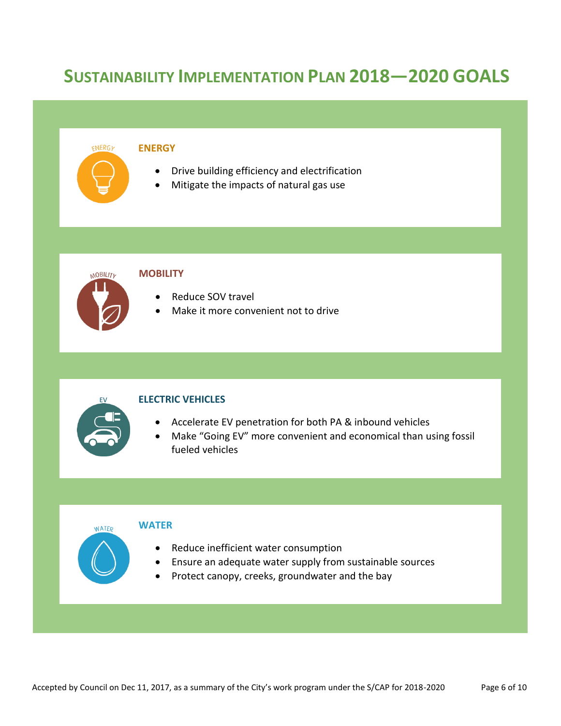# **SUSTAINABILITY IMPLEMENTATION PLAN 2018—2020 GOALS**

#### ENERGY **ENERGY**

- Drive building efficiency and electrification
- Mitigate the impacts of natural gas use



### **MOBILITY**

- Reduce SOV travel
- Make it more convenient not to drive



**WATER** 

#### **ELECTRIC VEHICLES**

- Accelerate EV penetration for both PA & inbound vehicles
- Make "Going EV" more convenient and economical than using fossil fueled vehicles

#### **WATER**

- Reduce inefficient water consumption
- Ensure an adequate water supply from sustainable sources
- Protect canopy, creeks, groundwater and the bay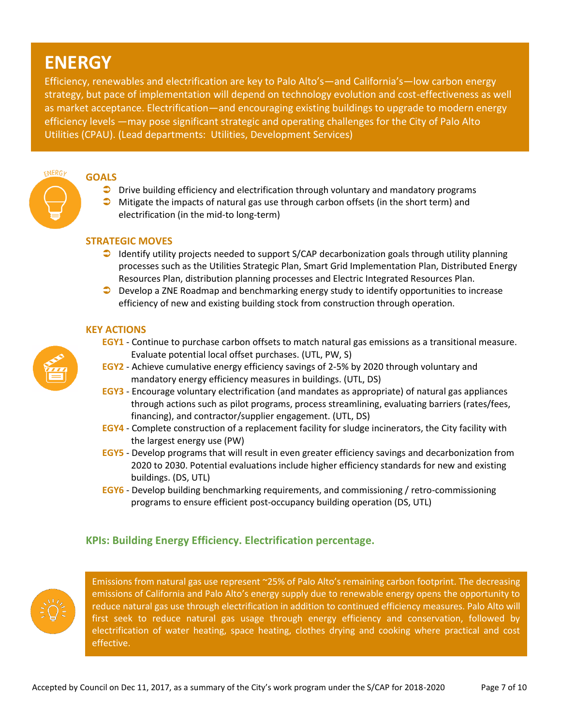# **ENERGY**

Efficiency, renewables and electrification are key to Palo Alto's—and California's—low carbon energy strategy, but pace of implementation will depend on technology evolution and cost-effectiveness as well as market acceptance. Electrification—and encouraging existing buildings to upgrade to modern energy efficiency levels —may pose significant strategic and operating challenges for the City of Palo Alto Utilities (CPAU). (Lead departments: Utilities, Development Services)



### **GOALS**

- Drive building efficiency and electrification through voluntary and mandatory programs
- $\bullet$  Mitigate the impacts of natural gas use through carbon offsets (in the short term) and electrification (in the mid-to long-term)

### **STRATEGIC MOVES**

- $\Box$  Identify utility projects needed to support S/CAP decarbonization goals through utility planning processes such as the Utilities Strategic Plan, Smart Grid Implementation Plan, Distributed Energy Resources Plan, distribution planning processes and Electric Integrated Resources Plan.
- **D** Develop a ZNE Roadmap and benchmarking energy study to identify opportunities to increase efficiency of new and existing building stock from construction through operation.

### **KEY ACTIONS**

- **EGY1** Continue to purchase carbon offsets to match natural gas emissions as a transitional measure. Evaluate potential local offset purchases. (UTL, PW, S)
- **EGY2** Achieve cumulative energy efficiency savings of 2-5% by 2020 through voluntary and mandatory energy efficiency measures in buildings. (UTL, DS)
- **EGY3** Encourage voluntary electrification (and mandates as appropriate) of natural gas appliances through actions such as pilot programs, process streamlining, evaluating barriers (rates/fees, financing), and contractor/supplier engagement. (UTL, DS)
- **EGY4** Complete construction of a replacement facility for sludge incinerators, the City facility with the largest energy use (PW)
- **EGY5** Develop programs that will result in even greater efficiency savings and decarbonization from 2020 to 2030. Potential evaluations include higher efficiency standards for new and existing buildings. (DS, UTL)
- **EGY6** Develop building benchmarking requirements, and commissioning / retro-commissioning programs to ensure efficient post-occupancy building operation (DS, UTL)

## **KPIs: Building Energy Efficiency. Electrification percentage.**



Emissions from natural gas use represent ~25% of Palo Alto's remaining carbon footprint. The decreasing emissions of California and Palo Alto's energy supply due to renewable energy opens the opportunity to reduce natural gas use through electrification in addition to continued efficiency measures. Palo Alto will first seek to reduce natural gas usage through energy efficiency and conservation, followed by electrification of water heating, space heating, clothes drying and cooking where practical and cost effective.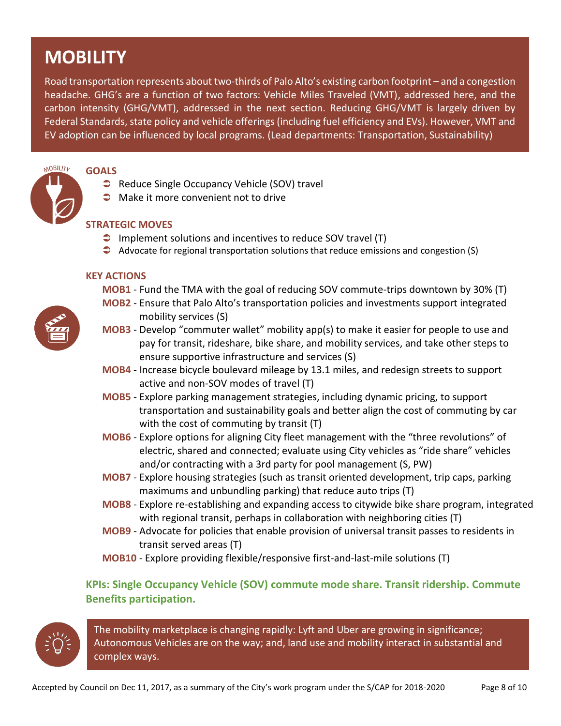# **MOBILITY**

Road transportation represents about two-thirds of Palo Alto's existing carbon footprint – and a congestion headache. GHG's are a function of two factors: Vehicle Miles Traveled (VMT), addressed here, and the carbon intensity (GHG/VMT), addressed in the next section. Reducing GHG/VMT is largely driven by Federal Standards, state policy and vehicle offerings (including fuel efficiency and EVs). However, VMT and EV adoption can be influenced by local programs. (Lead departments: Transportation, Sustainability)



# **GOALS**

- Reduce Single Occupancy Vehicle (SOV) travel
- $\bullet$  Make it more convenient not to drive

# **STRATEGIC MOVES**

- $\supset$  Implement solutions and incentives to reduce SOV travel (T)
- Advocate for regional transportation solutions that reduce emissions and congestion (S)

### **KEY ACTIONS**

- **MOB1** Fund the TMA with the goal of reducing SOV commute-trips downtown by 30% (T)
- **MOB2** Ensure that Palo Alto's transportation policies and investments support integrated mobility services (S)
- **MOB3** Develop "commuter wallet" mobility app(s) to make it easier for people to use and pay for transit, rideshare, bike share, and mobility services, and take other steps to ensure supportive infrastructure and services (S)
- **MOB4** Increase bicycle boulevard mileage by 13.1 miles, and redesign streets to support active and non-SOV modes of travel (T)
- **MOB5** Explore parking management strategies, including dynamic pricing, to support transportation and sustainability goals and better align the cost of commuting by car with the cost of commuting by transit (T)
- **MOB6** Explore options for aligning City fleet management with the "three revolutions" of electric, shared and connected; evaluate using City vehicles as "ride share" vehicles and/or contracting with a 3rd party for pool management (S, PW)
- **MOB7** Explore housing strategies (such as transit oriented development, trip caps, parking maximums and unbundling parking) that reduce auto trips (T)
- **MOB8** Explore re-establishing and expanding access to citywide bike share program, integrated with regional transit, perhaps in collaboration with neighboring cities (T)
- **MOB9** Advocate for policies that enable provision of universal transit passes to residents in transit served areas (T)
- **MOB10** Explore providing flexible/responsive first-and-last-mile solutions (T)

# **KPIs: Single Occupancy Vehicle (SOV) commute mode share. Transit ridership. Commute Benefits participation.**



The mobility marketplace is changing rapidly: Lyft and Uber are growing in significance; Autonomous Vehicles are on the way; and, land use and mobility interact in substantial and complex ways.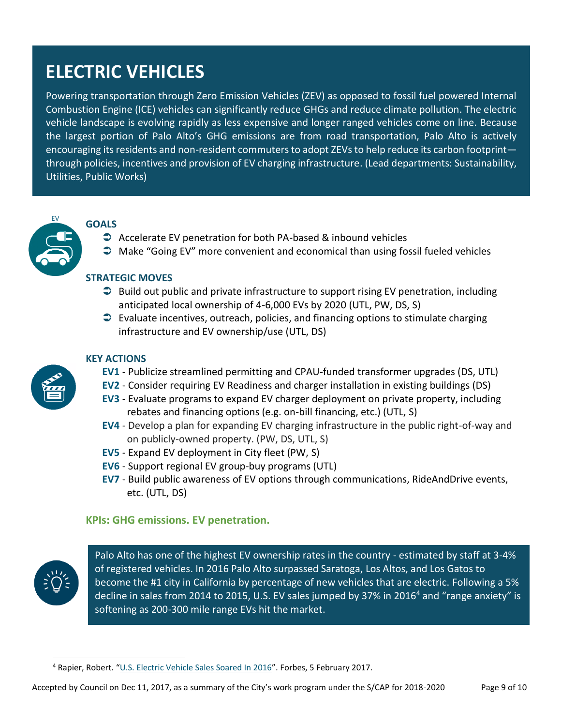# **ELECTRIC VEHICLES**

Powering transportation through Zero Emission Vehicles (ZEV) as opposed to fossil fuel powered Internal Combustion Engine (ICE) vehicles can significantly reduce GHGs and reduce climate pollution. The electric vehicle landscape is evolving rapidly as less expensive and longer ranged vehicles come on line. Because the largest portion of Palo Alto's GHG emissions are from road transportation, Palo Alto is actively encouraging its residents and non-resident commuters to adopt ZEVs to help reduce its carbon footprintthrough policies, incentives and provision of EV charging infrastructure. (Lead departments: Sustainability, Utilities, Public Works)



### **GOALS**

- Accelerate EV penetration for both PA-based & inbound vehicles
- $\supset$  Make "Going EV" more convenient and economical than using fossil fueled vehicles

### **STRATEGIC MOVES**

- $\supset$  Build out public and private infrastructure to support rising EV penetration, including anticipated local ownership of 4-6,000 EVs by 2020 (UTL, PW, DS, S)
- $\supset$  Evaluate incentives, outreach, policies, and financing options to stimulate charging infrastructure and EV ownership/use (UTL, DS)



# **KEY ACTIONS**

- **EV1** Publicize streamlined permitting and CPAU-funded transformer upgrades (DS, UTL)
- **EV2** Consider requiring EV Readiness and charger installation in existing buildings (DS)
- **EV3** Evaluate programs to expand EV charger deployment on private property, including rebates and financing options (e.g. on-bill financing, etc.) (UTL, S)
- **EV4** Develop a plan for expanding EV charging infrastructure in the public right-of-way and on publicly-owned property. (PW, DS, UTL, S)
- **EV5** Expand EV deployment in City fleet (PW, S)
- **EV6** Support regional EV group-buy programs (UTL)
- **EV7** Build public awareness of EV options through communications, RideAndDrive events, etc. (UTL, DS)

## **KPIs: GHG emissions. EV penetration.**



 $\overline{a}$ 

4 Palo Alto has one of the highest EV ownership rates in the country - estimated by staff at 3-4% of registered vehicles. In 2016 Palo Alto surpassed Saratoga, Los Altos, and Los Gatos to become the #1 city in California by percentage of new vehicles that are electric. Following a 5% decline in sales from 2014 to 2015, U.S. EV sales jumped by 37% in 2016<sup>4</sup> and "range anxiety" is softening as 200-300 mile range EVs hit the market.

<sup>4</sup> Rapier, Robert. "[U.S. Electric Vehicle Sales Soared In 2016](https://www.forbes.com/sites/rrapier/2017/02/05/u-s-electric-vehicle-sales-soared-in-2016/#2bf51c3a217f)". Forbes, 5 February 2017.